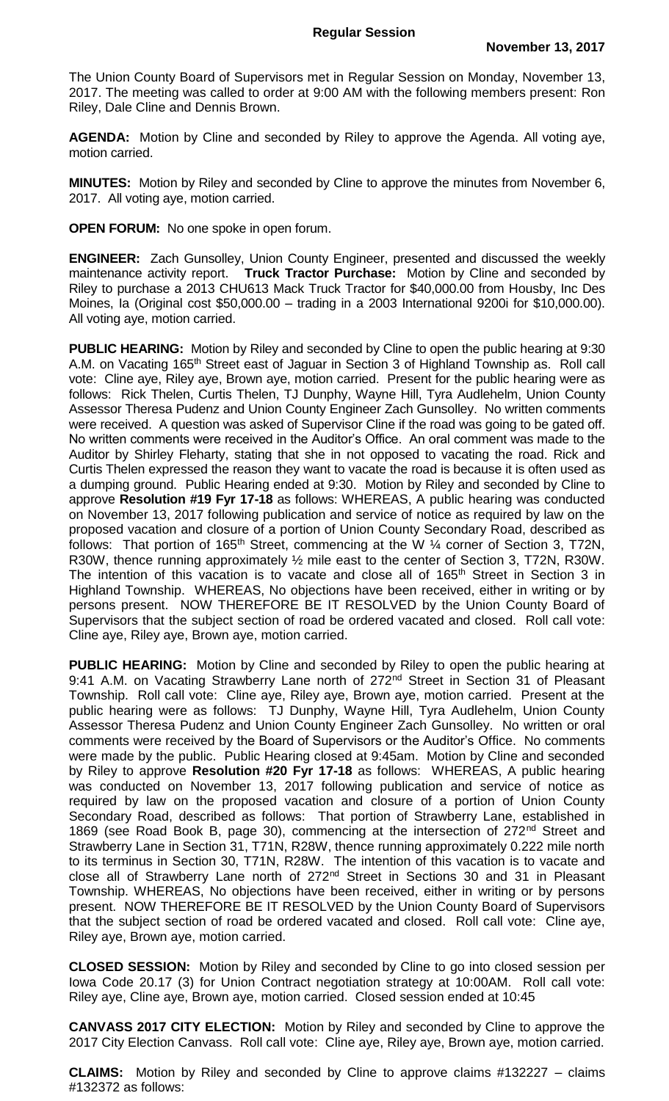The Union County Board of Supervisors met in Regular Session on Monday, November 13, 2017. The meeting was called to order at 9:00 AM with the following members present: Ron Riley, Dale Cline and Dennis Brown.

**AGENDA:** Motion by Cline and seconded by Riley to approve the Agenda. All voting aye, motion carried.

**MINUTES:** Motion by Riley and seconded by Cline to approve the minutes from November 6, 2017. All voting aye, motion carried.

**OPEN FORUM:** No one spoke in open forum.

**ENGINEER:** Zach Gunsolley, Union County Engineer, presented and discussed the weekly maintenance activity report. **Truck Tractor Purchase:** Motion by Cline and seconded by Riley to purchase a 2013 CHU613 Mack Truck Tractor for \$40,000.00 from Housby, Inc Des Moines, Ia (Original cost \$50,000.00 – trading in a 2003 International 9200i for \$10,000.00). All voting aye, motion carried.

**PUBLIC HEARING:** Motion by Riley and seconded by Cline to open the public hearing at 9:30 A.M. on Vacating 165<sup>th</sup> Street east of Jaguar in Section 3 of Highland Township as. Roll call vote: Cline aye, Riley aye, Brown aye, motion carried. Present for the public hearing were as follows: Rick Thelen, Curtis Thelen, TJ Dunphy, Wayne Hill, Tyra Audlehelm, Union County Assessor Theresa Pudenz and Union County Engineer Zach Gunsolley. No written comments were received. A question was asked of Supervisor Cline if the road was going to be gated off. No written comments were received in the Auditor's Office. An oral comment was made to the Auditor by Shirley Fleharty, stating that she in not opposed to vacating the road. Rick and Curtis Thelen expressed the reason they want to vacate the road is because it is often used as a dumping ground. Public Hearing ended at 9:30. Motion by Riley and seconded by Cline to approve **Resolution #19 Fyr 17-18** as follows: WHEREAS, A public hearing was conducted on November 13, 2017 following publication and service of notice as required by law on the proposed vacation and closure of a portion of Union County Secondary Road, described as follows: That portion of 165<sup>th</sup> Street, commencing at the W  $\frac{1}{4}$  corner of Section 3, T72N, R30W, thence running approximately  $\frac{1}{2}$  mile east to the center of Section 3, T72N, R30W. The intention of this vacation is to vacate and close all of 165<sup>th</sup> Street in Section 3 in Highland Township. WHEREAS, No objections have been received, either in writing or by persons present. NOW THEREFORE BE IT RESOLVED by the Union County Board of Supervisors that the subject section of road be ordered vacated and closed. Roll call vote: Cline aye, Riley aye, Brown aye, motion carried.

**PUBLIC HEARING:** Motion by Cline and seconded by Riley to open the public hearing at 9:41 A.M. on Vacating Strawberry Lane north of 272<sup>nd</sup> Street in Section 31 of Pleasant Township. Roll call vote: Cline aye, Riley aye, Brown aye, motion carried. Present at the public hearing were as follows: TJ Dunphy, Wayne Hill, Tyra Audlehelm, Union County Assessor Theresa Pudenz and Union County Engineer Zach Gunsolley. No written or oral comments were received by the Board of Supervisors or the Auditor's Office. No comments were made by the public. Public Hearing closed at 9:45am. Motion by Cline and seconded by Riley to approve **Resolution #20 Fyr 17-18** as follows: WHEREAS, A public hearing was conducted on November 13, 2017 following publication and service of notice as required by law on the proposed vacation and closure of a portion of Union County Secondary Road, described as follows: That portion of Strawberry Lane, established in 1869 (see Road Book B, page 30), commencing at the intersection of 272<sup>nd</sup> Street and Strawberry Lane in Section 31, T71N, R28W, thence running approximately 0.222 mile north to its terminus in Section 30, T71N, R28W. The intention of this vacation is to vacate and close all of Strawberry Lane north of 272<sup>nd</sup> Street in Sections 30 and 31 in Pleasant Township. WHEREAS, No objections have been received, either in writing or by persons present. NOW THEREFORE BE IT RESOLVED by the Union County Board of Supervisors that the subject section of road be ordered vacated and closed. Roll call vote: Cline aye, Riley aye, Brown aye, motion carried.

**CLOSED SESSION:** Motion by Riley and seconded by Cline to go into closed session per Iowa Code 20.17 (3) for Union Contract negotiation strategy at 10:00AM. Roll call vote: Riley aye, Cline aye, Brown aye, motion carried. Closed session ended at 10:45

**CANVASS 2017 CITY ELECTION:** Motion by Riley and seconded by Cline to approve the 2017 City Election Canvass. Roll call vote: Cline aye, Riley aye, Brown aye, motion carried.

**CLAIMS:** Motion by Riley and seconded by Cline to approve claims #132227 – claims #132372 as follows: